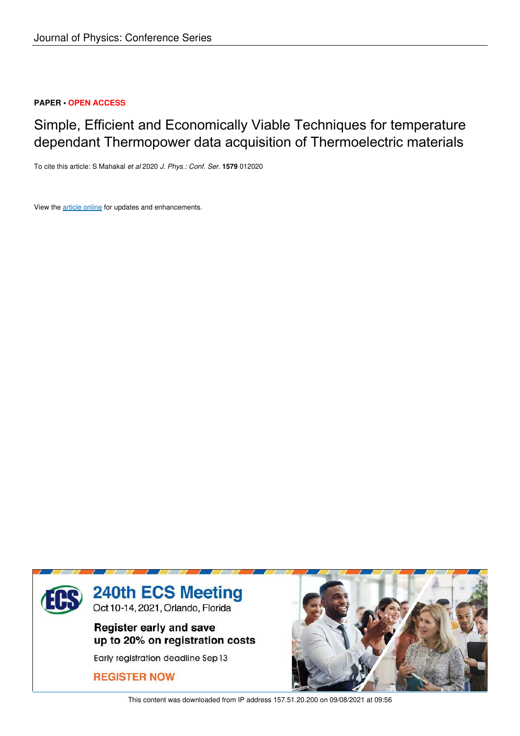## **PAPER • OPEN ACCESS**

# Simple, Efficient and Economically Viable Techniques for temperature dependant Thermopower data acquisition of Thermoelectric materials

To cite this article: S Mahakal *et al* 2020 *J. Phys.: Conf. Ser.* **1579** 012020

View the article online for updates and enhancements.



This content was downloaded from IP address 157.51.20.200 on 09/08/2021 at 09:56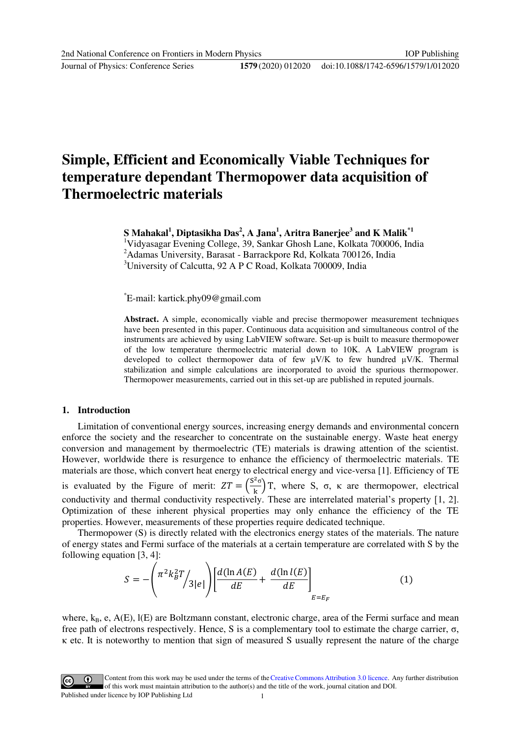Journal of Physics: Conference Series **1579** (2020) 012020

## **Simple, Efficient and Economically Viable Techniques for temperature dependant Thermopower data acquisition of Thermoelectric materials**

**S Mahakal<sup>1</sup> , Diptasikha Das<sup>2</sup> , A Jana<sup>1</sup> , Aritra Banerjee<sup>3</sup> and K Malik\*1** 

<sup>1</sup>Vidyasagar Evening College, 39, Sankar Ghosh Lane, Kolkata 700006, India <sup>2</sup>Adamas University, Barasat - Barrackpore Rd, Kolkata 700126, India <sup>3</sup>University of Calcutta, 92 A P C Road, Kolkata 700009, India

\*E-mail: kartick.phy09@gmail.com

**Abstract.** A simple, economically viable and precise thermopower measurement techniques have been presented in this paper. Continuous data acquisition and simultaneous control of the instruments are achieved by using LabVIEW software. Set-up is built to measure thermopower of the low temperature thermoelectric material down to 10K. A LabVIEW program is developed to collect thermopower data of few  $\mu$ V/K to few hundred  $\mu$ V/K. Thermal stabilization and simple calculations are incorporated to avoid the spurious thermopower. Thermopower measurements, carried out in this set-up are published in reputed journals.

#### **1. Introduction**

Limitation of conventional energy sources, increasing energy demands and environmental concern enforce the society and the researcher to concentrate on the sustainable energy. Waste heat energy conversion and management by thermoelectric (TE) materials is drawing attention of the scientist. However, worldwide there is resurgence to enhance the efficiency of thermoelectric materials. TE materials are those, which convert heat energy to electrical energy and vice-versa [1]. Efficiency of TE is evaluated by the Figure of merit:  $ZT = \left(\frac{S^2}{R}\right)^2$  $\left(\frac{1}{k}\right)$ T, where S,  $\sigma$ ,  $\kappa$  are thermopower, electrical conductivity and thermal conductivity respectively. These are interrelated material's property [1, 2]. Optimization of these inherent physical properties may only enhance the efficiency of the TE properties. However, measurements of these properties require dedicated technique.

Thermopower (S) is directly related with the electronics energy states of the materials. The nature of energy states and Fermi surface of the materials at a certain temperature are correlated with S by the following equation [3, 4]:

$$
S = -\left(\frac{\pi^2 k_B^2 T}{3|e|}\right) \left[\frac{d(\ln A(E))}{dE} + \frac{d(\ln l(E))}{dE}\right]_{E=E_F}
$$
(1)

where,  $k_B$ , e,  $A(E)$ ,  $I(E)$  are Boltzmann constant, electronic charge, area of the Fermi surface and mean free path of electrons respectively. Hence, S is a complementary tool to estimate the charge carrier,  $\sigma$ , κ etc. It is noteworthy to mention that sign of measured S usually represent the nature of the charge

Content from this work may be used under the terms of theCreative Commons Attribution 3.0 licence. Any further distribution of this work must maintain attribution to the author(s) and the title of the work, journal citation and DOI. Published under licence by IOP Publishing Ltd 1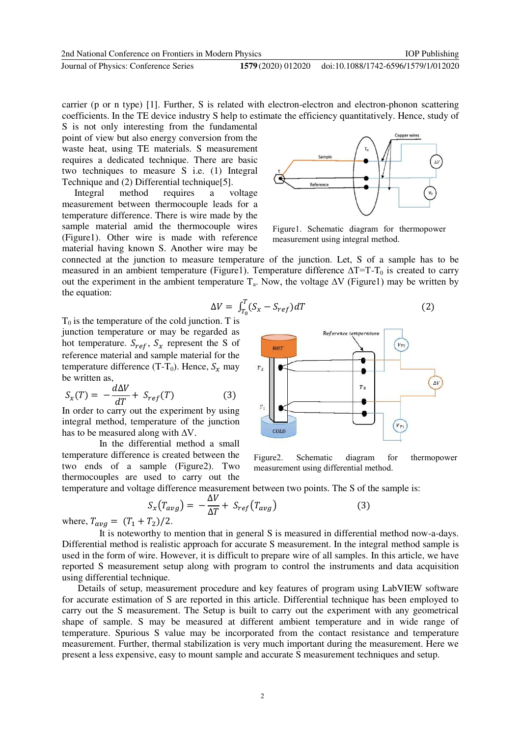carrier (p or n type) [1]. Further, S is related with electron-electron and electron-phonon scattering coefficients. In the TE device industry S help to estimate the efficiency quantitatively. Hence, study of

S is not only interesting from the fundamental point of view but also energy conversion from the waste heat, using TE materials. S measurement requires a dedicated technique. There are basic two techniques to measure S i.e. (1) Integral Technique and (2) Differential technique<sup>[5]</sup>.<br>Integral method requires a v

Integral method requires a voltage measurement between thermocouple leads for a temperature difference. There is wire made by the sample material amid the thermocouple wires (Figure1). Other wire is made with reference material having known S. Another wire may be



Figure1. Schematic diagram for thermopower measurement using integral method.

connected at the junction to measure temperature of the junction. Let, S of a sample has to be measured in an ambient temperature (Figure1). Temperature difference  $\Delta T=T-T_0$  is created to carry out the experiment in the ambient temperature  $T_a$ . Now, the voltage  $\Delta V$  (Figure1) may be written by the equation:

$$
\Delta V = \int_{T_0}^{T} (S_x - S_{ref}) dT \tag{2}
$$

 $T_0$  is the temperature of the cold junction. T is junction temperature or may be regarded as hot temperature.  $S_{ref}$ ,  $S_x$  represent the S of reference material and sample material for the temperature difference (T-T<sub>0</sub>). Hence,  $S_x$  may be written as,

$$
S_x(T) = -\frac{d\Delta V}{dT} + S_{ref}(T) \tag{3}
$$

In order to carry out the experiment by using integral method, temperature of the junction has to be measured along with  $\Delta V$ .

In the differential method a small temperature difference is created between the two ends of a sample (Figure2). Two thermocouples are used to carry out the



Figure2. Schematic diagram for thermopower measurement using differential method.

temperature and voltage difference measurement between two points. The S of the sample is:

$$
S_x(T_{avg}) = -\frac{\Delta V}{\Delta T} + S_{ref}(T_{avg})
$$
\n(3)

where,  $T_{avg} = (T_1 + T_2)/2$ .

It is noteworthy to mention that in general S is measured in differential method now-a-days. Differential method is realistic approach for accurate S measurement. In the integral method sample is used in the form of wire. However, it is difficult to prepare wire of all samples. In this article, we have reported S measurement setup along with program to control the instruments and data acquisition using differential technique.

Details of setup, measurement procedure and key features of program using LabVIEW software for accurate estimation of S are reported in this article. Differential technique has been employed to carry out the S measurement. The Setup is built to carry out the experiment with any geometrical shape of sample. S may be measured at different ambient temperature and in wide range of temperature. Spurious S value may be incorporated from the contact resistance and temperature measurement. Further, thermal stabilization is very much important during the measurement. Here we present a less expensive, easy to mount sample and accurate S measurement techniques and setup.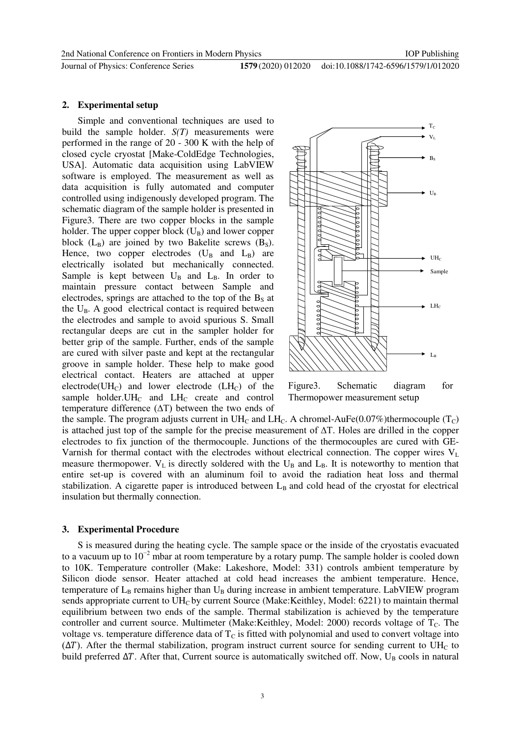Journal of Physics: Conference Series **1579** (2020) 012020

doi:10.1088/1742-6596/1579/1/012020

#### **2. Experimental setup**

Simple and conventional techniques are used to build the sample holder. *S(T)* measurements were performed in the range of 20 - 300 K with the help of closed cycle cryostat [Make-ColdEdge Technologies, USA]. Automatic data acquisition using LabVIEW software is employed. The measurement as well as data acquisition is fully automated and computer controlled using indigenously developed program. The schematic diagram of the sample holder is presented in Figure3. There are two copper blocks in the sample holder. The upper copper block  $(U_B)$  and lower copper block  $(L_B)$  are joined by two Bakelite screws  $(B_S)$ . Hence, two copper electrodes  $(U_B \text{ and } L_B)$  are electrically isolated but mechanically connected. Sample is kept between  $U_B$  and  $L_B$ . In order to maintain pressure contact between Sample and electrodes, springs are attached to the top of the  $B_s$  at the  $U_B$ . A good electrical contact is required between the electrodes and sample to avoid spurious S. Small rectangular deeps are cut in the sampler holder for better grip of the sample. Further, ends of the sample are cured with silver paste and kept at the rectangular groove in sample holder. These help to make good electrical contact. Heaters are attached at upper electrode( $UH_C$ ) and lower electrode ( $LH_C$ ) of the sample holder. UH $_{\text{C}}$  and LH $_{\text{C}}$  create and control temperature difference (∆T) between the two ends of



Figure3. Schematic diagram for Thermopower measurement setup

the sample. The program adjusts current in  $UH_C$  and  $LH_C$ . A chromel-AuFe(0.07%)thermocouple (T<sub>C</sub>) is attached just top of the sample for the precise measurement of ∆T. Holes are drilled in the copper electrodes to fix junction of the thermocouple. Junctions of the thermocouples are cured with GE-Varnish for thermal contact with the electrodes without electrical connection. The copper wires  $V_L$ measure thermopower.  $V_L$  is directly soldered with the  $U_B$  and  $L_B$ . It is noteworthy to mention that entire set-up is covered with an aluminum foil to avoid the radiation heat loss and thermal stabilization. A cigarette paper is introduced between  $L_B$  and cold head of the cryostat for electrical insulation but thermally connection.

#### **3. Experimental Procedure**

S is measured during the heating cycle. The sample space or the inside of the cryostatis evacuated to a vacuum up to  $10^{-2}$  mbar at room temperature by a rotary pump. The sample holder is cooled down to 10K. Temperature controller (Make: Lakeshore, Model: 331) controls ambient temperature by Silicon diode sensor. Heater attached at cold head increases the ambient temperature. Hence, temperature of  $L_B$  remains higher than  $U_B$  during increase in ambient temperature. LabVIEW program sends appropriate current to  $UH_C$  by current Source (Make:Keithley, Model: 6221) to maintain thermal equilibrium between two ends of the sample. Thermal stabilization is achieved by the temperature controller and current source. Multimeter (Make:Keithley, Model: 2000) records voltage of T<sub>C</sub>. The voltage vs. temperature difference data of  $T_c$  is fitted with polynomial and used to convert voltage into  $(\Delta T)$ . After the thermal stabilization, program instruct current source for sending current to UH<sub>C</sub> to build preferred  $\Delta T$ . After that, Current source is automatically switched off. Now, U<sub>B</sub> cools in natural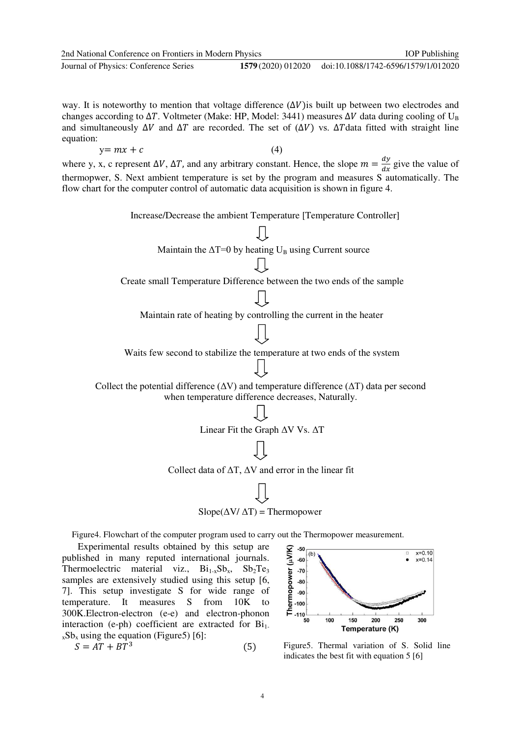| 2nd National Conference on Frontiers in Modern Physics                                                                                                                                                                                                                                                                                                                                         |                                                                     | <b>IOP</b> Publishing               |
|------------------------------------------------------------------------------------------------------------------------------------------------------------------------------------------------------------------------------------------------------------------------------------------------------------------------------------------------------------------------------------------------|---------------------------------------------------------------------|-------------------------------------|
| Journal of Physics: Conference Series                                                                                                                                                                                                                                                                                                                                                          | 1579 (2020) 012020                                                  | doi:10.1088/1742-6596/1579/1/012020 |
| way. It is noteworthy to mention that voltage difference $(\Delta V)$ is built up between two electrodes and<br>changes according to $\Delta T$ . Voltmeter (Make: HP, Model: 3441) measures $\Delta V$ data during cooling of U <sub>B</sub><br>and simultaneously $\Delta V$ and $\Delta T$ are recorded. The set of $(\Delta V)$ vs. $\Delta T$ data fitted with straight line<br>equation: |                                                                     |                                     |
| $y = mx + c$                                                                                                                                                                                                                                                                                                                                                                                   | (4)                                                                 |                                     |
| where y, x, c represent $\Delta V$ , $\Delta T$ , and any arbitrary constant. Hence, the slope $m = \frac{dy}{dx}$ give the value of<br>thermopwer, S. Next ambient temperature is set by the program and measures S automatically. The<br>flow chart for the computer control of automatic data acquisition is shown in figure 4.                                                             |                                                                     |                                     |
| Increase/Decrease the ambient Temperature [Temperature Controller]                                                                                                                                                                                                                                                                                                                             |                                                                     |                                     |
|                                                                                                                                                                                                                                                                                                                                                                                                |                                                                     |                                     |
| Maintain the $\Delta T=0$ by heating $U_B$ using Current source                                                                                                                                                                                                                                                                                                                                |                                                                     |                                     |
|                                                                                                                                                                                                                                                                                                                                                                                                |                                                                     |                                     |
| Create small Temperature Difference between the two ends of the sample                                                                                                                                                                                                                                                                                                                         |                                                                     |                                     |
|                                                                                                                                                                                                                                                                                                                                                                                                |                                                                     |                                     |
|                                                                                                                                                                                                                                                                                                                                                                                                | Maintain rate of heating by controlling the current in the heater   |                                     |
|                                                                                                                                                                                                                                                                                                                                                                                                |                                                                     |                                     |
| Waits few second to stabilize the temperature at two ends of the system                                                                                                                                                                                                                                                                                                                        |                                                                     |                                     |
|                                                                                                                                                                                                                                                                                                                                                                                                |                                                                     |                                     |
| Collect the potential difference ( $\Delta V$ ) and temperature difference ( $\Delta T$ ) data per second<br>when temperature difference decreases, Naturally.                                                                                                                                                                                                                                 |                                                                     |                                     |
|                                                                                                                                                                                                                                                                                                                                                                                                |                                                                     |                                     |
| Linear Fit the Graph AV Vs. AT                                                                                                                                                                                                                                                                                                                                                                 |                                                                     |                                     |
|                                                                                                                                                                                                                                                                                                                                                                                                |                                                                     |                                     |
|                                                                                                                                                                                                                                                                                                                                                                                                | Collect data of $\Delta T$ , $\Delta V$ and error in the linear fit |                                     |
|                                                                                                                                                                                                                                                                                                                                                                                                |                                                                     |                                     |
|                                                                                                                                                                                                                                                                                                                                                                                                | $Slope(\Delta V/\Delta T) = Thermopower$                            |                                     |
| Figure4. Flowchart of the computer program used to carry out the Thermopower measurement.<br>Experimental results obtained by this setup are<br>published in many reputed international journals.<br>Thermoelectric material viz Ri <sub>1-Sh</sub> Sh <sub>2</sub> Te <sub>2</sub>                                                                                                            | -50<br>(b)<br>-60                                                   | $x=0.10$<br>$x=0.14$                |

Thermoelectric material viz.,  $Bi_{1-x}Sb_x$ ,  $Sb_2Te_3$ samples are extensively studied using this setup [6, 7]. This setup investigate S for wide range of temperature. It measures S from 10K to 300K.Electron-electron (e-e) and electron-phonon interaction (e-ph) coefficient are extracted for  $Bi<sub>1</sub>$ .  $_{x}Sb_{x}$  using the equation (Figure5) [6]:

$$
S = AT + BT^3 \tag{5}
$$



Figure5. Thermal variation of S. Solid line indicates the best fit with equation 5 [6]